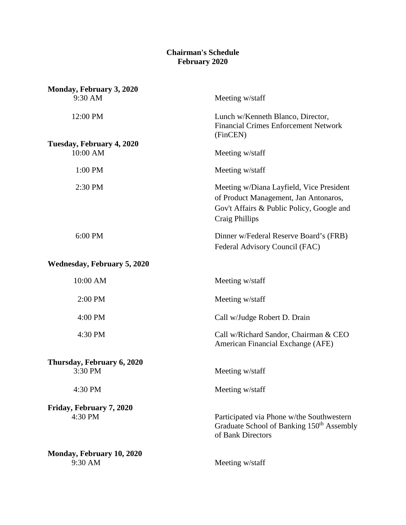## **Chairman's Schedule February 2020**

| Monday, February 3, 2020             |                                                                                                                                                  |
|--------------------------------------|--------------------------------------------------------------------------------------------------------------------------------------------------|
| 9:30 AM                              | Meeting w/staff                                                                                                                                  |
| 12:00 PM                             | Lunch w/Kenneth Blanco, Director,<br><b>Financial Crimes Enforcement Network</b><br>(FinCEN)                                                     |
| Tuesday, February 4, 2020            |                                                                                                                                                  |
| 10:00 AM                             | Meeting w/staff                                                                                                                                  |
| 1:00 PM                              | Meeting w/staff                                                                                                                                  |
| 2:30 PM                              | Meeting w/Diana Layfield, Vice President<br>of Product Management, Jan Antonaros,<br>Gov't Affairs & Public Policy, Google and<br>Craig Phillips |
| 6:00 PM                              | Dinner w/Federal Reserve Board's (FRB)<br>Federal Advisory Council (FAC)                                                                         |
| <b>Wednesday, February 5, 2020</b>   |                                                                                                                                                  |
| 10:00 AM                             | Meeting w/staff                                                                                                                                  |
| 2:00 PM                              | Meeting w/staff                                                                                                                                  |
| 4:00 PM                              | Call w/Judge Robert D. Drain                                                                                                                     |
| 4:30 PM                              | Call w/Richard Sandor, Chairman & CEO<br>American Financial Exchange (AFE)                                                                       |
| Thursday, February 6, 2020           |                                                                                                                                                  |
| 3:30 PM                              | Meeting w/staff                                                                                                                                  |
| 4:30 PM                              | Meeting w/staff                                                                                                                                  |
| Friday, February 7, 2020<br>4:30 PM  | Participated via Phone w/the Southwestern<br>Graduate School of Banking 150 <sup>th</sup> Assembly<br>of Bank Directors                          |
| Monday, February 10, 2020<br>9:30 AM | Meeting w/staff                                                                                                                                  |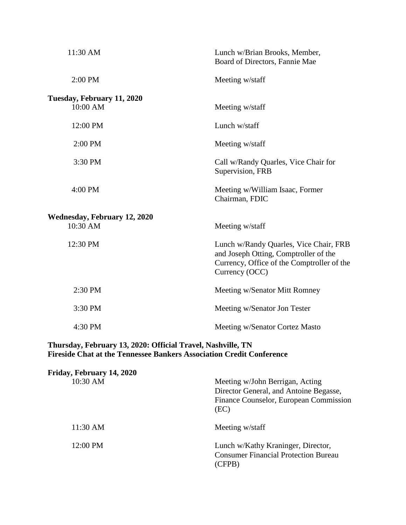| 11:30 AM                                        | Lunch w/Brian Brooks, Member,<br>Board of Directors, Fannie Mae                                                                                 |
|-------------------------------------------------|-------------------------------------------------------------------------------------------------------------------------------------------------|
| 2:00 PM                                         | Meeting w/staff                                                                                                                                 |
| Tuesday, February 11, 2020<br>10:00 AM          | Meeting w/staff                                                                                                                                 |
| 12:00 PM                                        | Lunch w/staff                                                                                                                                   |
| 2:00 PM                                         | Meeting w/staff                                                                                                                                 |
| 3:30 PM                                         | Call w/Randy Quarles, Vice Chair for<br>Supervision, FRB                                                                                        |
| 4:00 PM                                         | Meeting w/William Isaac, Former<br>Chairman, FDIC                                                                                               |
| <b>Wednesday, February 12, 2020</b><br>10:30 AM | Meeting w/staff                                                                                                                                 |
| 12:30 PM                                        | Lunch w/Randy Quarles, Vice Chair, FRB<br>and Joseph Otting, Comptroller of the<br>Currency, Office of the Comptroller of the<br>Currency (OCC) |
| 2:30 PM                                         | Meeting w/Senator Mitt Romney                                                                                                                   |
| 3:30 PM                                         | Meeting w/Senator Jon Tester                                                                                                                    |
| 4:30 PM                                         | Meeting w/Senator Cortez Masto                                                                                                                  |

### **Thursday, February 13, 2020: Official Travel, Nashville, TN Fireside Chat at the Tennessee Bankers Association Credit Conference**

| Friday, February 14, 2020 |                                                                                                                             |
|---------------------------|-----------------------------------------------------------------------------------------------------------------------------|
| 10:30 AM                  | Meeting w/John Berrigan, Acting<br>Director General, and Antoine Begasse,<br>Finance Counselor, European Commission<br>(EC) |
| 11:30 AM                  | Meeting w/staff                                                                                                             |
| 12:00 PM                  | Lunch w/Kathy Kraninger, Director,<br><b>Consumer Financial Protection Bureau</b><br>(CFPB)                                 |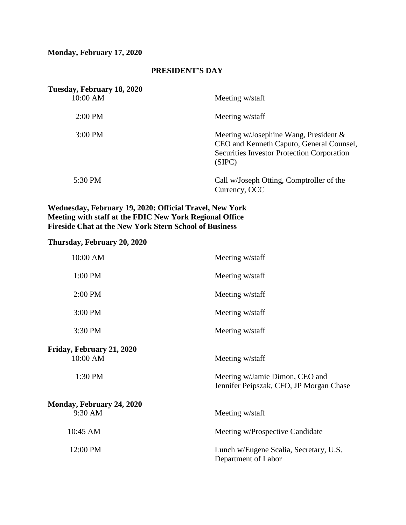# **Monday, February 17, 2020**

## **PRESIDENT'S DAY**

| Tuesday, February 18, 2020<br>10:00 AM | Meeting w/staff                                                                                                                                     |
|----------------------------------------|-----------------------------------------------------------------------------------------------------------------------------------------------------|
| $2:00$ PM                              | Meeting w/staff                                                                                                                                     |
| $3:00 \text{ PM}$                      | Meeting w/Josephine Wang, President $\&$<br>CEO and Kenneth Caputo, General Counsel,<br><b>Securities Investor Protection Corporation</b><br>(SIPC) |
| 5:30 PM                                | Call w/Joseph Otting, Comptroller of the<br>Currency, OCC                                                                                           |

#### **Wednesday, February 19, 2020: Official Travel, New York Meeting with staff at the FDIC New York Regional Office Fireside Chat at the New York Stern School of Business**

## **Thursday, February 20, 2020**

| 10:00 AM                              | Meeting w/staff                                                           |
|---------------------------------------|---------------------------------------------------------------------------|
| 1:00 PM                               | Meeting w/staff                                                           |
| $2:00$ PM                             | Meeting w/staff                                                           |
| 3:00 PM                               | Meeting w/staff                                                           |
| 3:30 PM                               | Meeting w/staff                                                           |
| Friday, February 21, 2020<br>10:00 AM | Meeting w/staff                                                           |
| 1:30 PM                               | Meeting w/Jamie Dimon, CEO and<br>Jennifer Peipszak, CFO, JP Morgan Chase |
| Monday, February 24, 2020<br>9:30 AM  | Meeting w/staff                                                           |
| 10:45 AM                              | Meeting w/Prospective Candidate                                           |
| 12:00 PM                              | Lunch w/Eugene Scalia, Secretary, U.S.<br>Department of Labor             |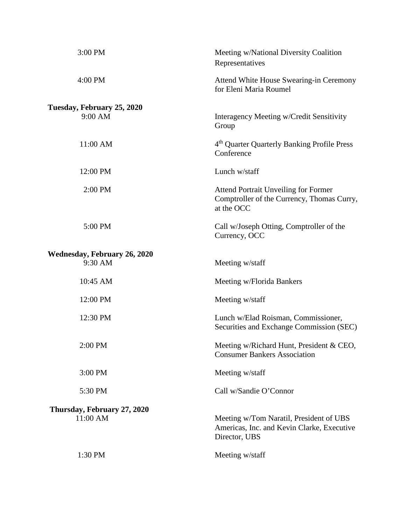| 3:00 PM                             | Meeting w/National Diversity Coalition<br>Representatives                                               |
|-------------------------------------|---------------------------------------------------------------------------------------------------------|
| 4:00 PM                             | Attend White House Swearing-in Ceremony<br>for Eleni Maria Roumel                                       |
| Tuesday, February 25, 2020          |                                                                                                         |
| 9:00 AM                             | Interagency Meeting w/Credit Sensitivity<br>Group                                                       |
| 11:00 AM                            | 4 <sup>th</sup> Quarter Quarterly Banking Profile Press<br>Conference                                   |
| 12:00 PM                            | Lunch w/staff                                                                                           |
| 2:00 PM                             | <b>Attend Portrait Unveiling for Former</b><br>Comptroller of the Currency, Thomas Curry,<br>at the OCC |
| 5:00 PM                             | Call w/Joseph Otting, Comptroller of the<br>Currency, OCC                                               |
| <b>Wednesday, February 26, 2020</b> |                                                                                                         |
| 9:30 AM                             | Meeting w/staff                                                                                         |
| 10:45 AM                            | Meeting w/Florida Bankers                                                                               |
| 12:00 PM                            | Meeting w/staff                                                                                         |
| 12:30 PM                            | Lunch w/Elad Roisman, Commissioner,<br>Securities and Exchange Commission (SEC)                         |
| 2:00 PM                             | Meeting w/Richard Hunt, President & CEO,<br><b>Consumer Bankers Association</b>                         |
| 3:00 PM                             | Meeting w/staff                                                                                         |
| 5:30 PM                             | Call w/Sandie O'Connor                                                                                  |
| Thursday, February 27, 2020         |                                                                                                         |
| 11:00 AM                            | Meeting w/Tom Naratil, President of UBS<br>Americas, Inc. and Kevin Clarke, Executive<br>Director, UBS  |
| 1:30 PM                             | Meeting w/staff                                                                                         |